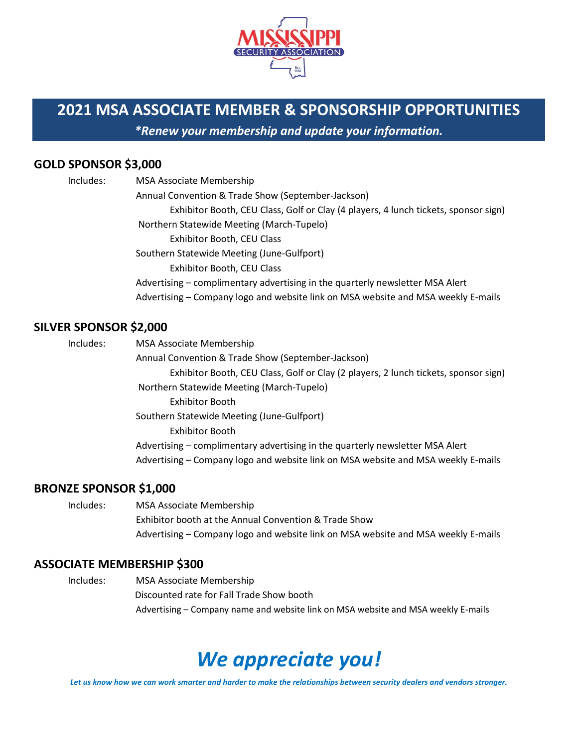

## **2021 MSA ASSOCIATE MEMBER & SPONSORSHIP OPPORTUNITIES**

*\*Renew your membership and update your information.*

#### **GOLD SPONSOR \$3,000**

#### Includes: MSA Associate Membership

 Annual Convention & Trade Show (September-Jackson) Exhibitor Booth, CEU Class, Golf or Clay (4 players, 4 lunch tickets, sponsor sign) Northern Statewide Meeting (March-Tupelo) Exhibitor Booth, CEU Class Southern Statewide Meeting (June-Gulfport) Exhibitor Booth, CEU Class Advertising – complimentary advertising in the quarterly newsletter MSA Alert Advertising – Company logo and website link on MSA website and MSA weekly E-mails

### **SILVER SPONSOR \$2,000**

Includes: MSA Associate Membership

 Annual Convention & Trade Show (September-Jackson) Exhibitor Booth, CEU Class, Golf or Clay (2 players, 2 lunch tickets, sponsor sign) Northern Statewide Meeting (March-Tupelo) Exhibitor Booth Southern Statewide Meeting (June-Gulfport) Exhibitor Booth Advertising – complimentary advertising in the quarterly newsletter MSA Alert Advertising – Company logo and website link on MSA website and MSA weekly E-mails

#### **BRONZE SPONSOR \$1,000**

Includes: MSA Associate Membership Exhibitor booth at the Annual Convention & Trade Show Advertising – Company logo and website link on MSA website and MSA weekly E-mails

### **ASSOCIATE MEMBERSHIP \$300**

Includes: MSA Associate Membership Discounted rate for Fall Trade Show booth Advertising – Company name and website link on MSA website and MSA weekly E-mails

# *We appreciate you!*

*Let us know how we can work smarter and harder to make the relationships between security dealers and vendors stronger.*